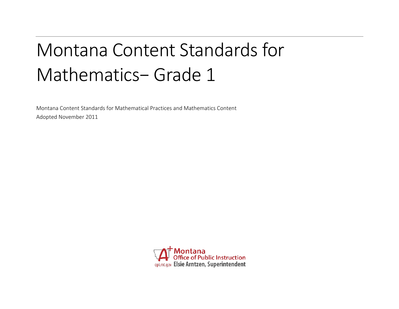# Montana Content Standards for Mathematics− Grade 1

Montana Content Standards for Mathematical Practices and Mathematics Content Adopted November 2011

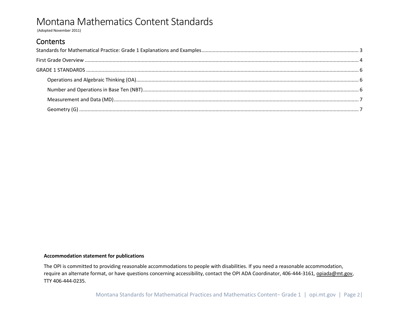(Adopted November 2011)

### Contents

#### **Accommodation statement for publications**

The OPI is committed to providing reasonable accommodations to people with disabilities. If you need a reasonable accommodation, require an alternate format, or have questions concerning accessibility, contact the OPI ADA Coordinator, 406-444-3161*,* [opiada@mt.gov,](mailto:opiada@mt.gov) TTY 406-444-0235.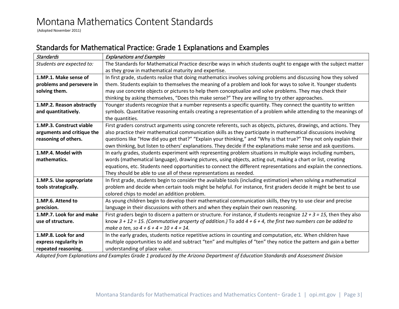(Adopted November 2011)

### <span id="page-2-0"></span>Standards for Mathematical Practice: Grade 1 Explanations and Examples

| Standards                  | <b>Explanations and Examples</b>                                                                                          |  |  |  |  |
|----------------------------|---------------------------------------------------------------------------------------------------------------------------|--|--|--|--|
| Students are expected to:  | The Standards for Mathematical Practice describe ways in which students ought to engage with the subject matter           |  |  |  |  |
|                            | as they grow in mathematical maturity and expertise.                                                                      |  |  |  |  |
| 1.MP.1. Make sense of      | In first grade, students realize that doing mathematics involves solving problems and discussing how they solved          |  |  |  |  |
| problems and persevere in  | them. Students explain to themselves the meaning of a problem and look for ways to solve it. Younger students             |  |  |  |  |
| solving them.              | may use concrete objects or pictures to help them conceptualize and solve problems. They may check their                  |  |  |  |  |
|                            | thinking by asking themselves, "Does this make sense?" They are willing to try other approaches.                          |  |  |  |  |
| 1.MP.2. Reason abstractly  | Younger students recognize that a number represents a specific quantity. They connect the quantity to written             |  |  |  |  |
| and quantitatively.        | symbols. Quantitative reasoning entails creating a representation of a problem while attending to the meanings of         |  |  |  |  |
|                            | the quantities.                                                                                                           |  |  |  |  |
| 1.MP.3. Construct viable   | First graders construct arguments using concrete referents, such as objects, pictures, drawings, and actions. They        |  |  |  |  |
| arguments and critique the | also practice their mathematical communication skills as they participate in mathematical discussions involving           |  |  |  |  |
| reasoning of others.       | questions like "How did you get that?" "Explain your thinking," and "Why is that true?" They not only explain their       |  |  |  |  |
|                            | own thinking, but listen to others' explanations. They decide if the explanations make sense and ask questions.           |  |  |  |  |
| 1.MP.4. Model with         | In early grades, students experiment with representing problem situations in multiple ways including numbers,             |  |  |  |  |
| mathematics.               | words (mathematical language), drawing pictures, using objects, acting out, making a chart or list, creating              |  |  |  |  |
|                            | equations, etc. Students need opportunities to connect the different representations and explain the connections.         |  |  |  |  |
|                            | They should be able to use all of these representations as needed.                                                        |  |  |  |  |
| 1.MP.5. Use appropriate    | In first grade, students begin to consider the available tools (including estimation) when solving a mathematical         |  |  |  |  |
| tools strategically.       | problem and decide when certain tools might be helpful. For instance, first graders decide it might be best to use        |  |  |  |  |
|                            | colored chips to model an addition problem.                                                                               |  |  |  |  |
| 1.MP.6. Attend to          | As young children begin to develop their mathematical communication skills, they try to use clear and precise             |  |  |  |  |
| precision.                 | language in their discussions with others and when they explain their own reasoning.                                      |  |  |  |  |
| 1.MP.7. Look for and make  | First graders begin to discern a pattern or structure. For instance, if students recognize $12 + 3 = 15$ , then they also |  |  |  |  |
| use of structure.          | know $3 + 12 = 15$ . (Commutative property of addition.) To add $4 + 6 + 4$ , the first two numbers can be added to       |  |  |  |  |
|                            | make a ten, so $4 + 6 + 4 = 10 + 4 = 14$ .                                                                                |  |  |  |  |
| 1.MP.8. Look for and       | In the early grades, students notice repetitive actions in counting and computation, etc. When children have              |  |  |  |  |
| express regularity in      | multiple opportunities to add and subtract "ten" and multiples of "ten" they notice the pattern and gain a better         |  |  |  |  |
| repeated reasoning.        | understanding of place value.                                                                                             |  |  |  |  |

*Adapted from Explanations and Examples Grade 1 produced by the Arizona Department of Education Standards and Assessment Division*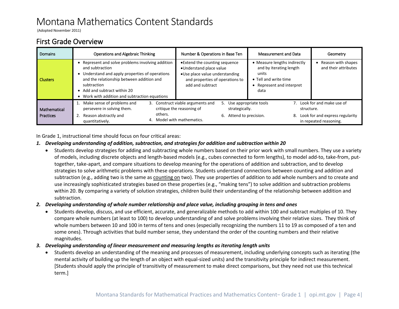(Adopted November 2011)

### <span id="page-3-0"></span>First Grade Overview

| Domains                          | Operations and Algebraic Thinking                                                                                                                                                                                                                                     | Number & Operations in Base Ten                                                                                                                                 | Measurement and Data                                                                                                         | Geometry                                                                                 |
|----------------------------------|-----------------------------------------------------------------------------------------------------------------------------------------------------------------------------------------------------------------------------------------------------------------------|-----------------------------------------------------------------------------------------------------------------------------------------------------------------|------------------------------------------------------------------------------------------------------------------------------|------------------------------------------------------------------------------------------|
| <b>Clusters</b>                  | • Represent and solve problems involving addition<br>and subtraction<br>• Understand and apply properties of operations<br>and the relationship between addition and<br>subtraction<br>• Add and subtract within 20<br>• Work with addition and subtraction equations | • Extend the counting sequence<br>•Understand place value<br>•Use place value understanding<br>and properties of operations to<br>add and subtract              | • Measure lengths indirectly<br>and by iterating length<br>units<br>• Tell and write time<br>Represent and interpret<br>data | Reason with shapes<br>and their attributes                                               |
| Mathematical<br><b>Practices</b> | Make sense of problems and<br>3.<br>persevere in solving them.<br>others.<br>Reason abstractly and<br>quantitatively.                                                                                                                                                 | Construct viable arguments and<br>5. Use appropriate tools<br>critique the reasoning of<br>strategically.<br>6. Attend to precision.<br>Model with mathematics. | structure.<br>8.                                                                                                             | 7. Look for and make use of<br>Look for and express regularity<br>in repeated reasoning. |

In Grade 1, instructional time should focus on four critical areas:

#### *1. Developing understanding of addition, subtraction, and strategies for addition and subtraction within 20*

- Students develop strategies for adding and subtracting whole numbers based on their prior work with small numbers. They use a variety of models, including discrete objects and length-based models (e.g., cubes connected to form lengths), to model add-to, take-from, puttogether, take-apart, and compare situations to develop meaning for the operations of addition and subtraction, and to develop strategies to solve arithmetic problems with these operations. Students understand connections between counting and addition and subtraction (e.g., adding two is the same as counting on two). They use properties of addition to add whole numbers and to create and use increasingly sophisticated strategies based on these properties (e.g., "making tens") to solve addition and subtraction problems within 20. By comparing a variety of solution strategies, children build their understanding of the relationship between addition and subtraction.
- *2. Developing understanding of whole number relationship and place value, including grouping in tens and ones*
	- Students develop, discuss, and use efficient, accurate, and generalizable methods to add within 100 and subtract multiples of 10. They compare whole numbers (at least to 100) to develop understanding of and solve problems involving their relative sizes. They think of whole numbers between 10 and 100 in terms of tens and ones (especially recognizing the numbers 11 to 19 as composed of a ten and some ones). Through activities that build number sense, they understand the order of the counting numbers and their relative magnitudes.
- *3. Developing understanding of linear measurement and measuring lengths as iterating length units*
	- Students develop an understanding of the meaning and processes of measurement, including underlying concepts such as iterating (the mental activity of building up the length of an object with equal-sized units) and the transitivity principle for indirect measurement. [Students should apply the principle of transitivity of measurement to make direct comparisons, but they need not use this technical term.]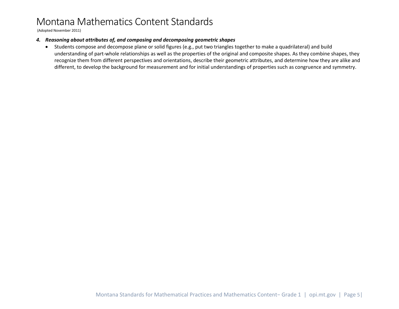(Adopted November 2011)

#### *4. Reasoning about attributes of, and composing and decomposing geometric shapes*

• Students compose and decompose plane or solid figures (e.g., put two triangles together to make a quadrilateral) and build understanding of part-whole relationships as well as the properties of the original and composite shapes. As they combine shapes, they recognize them from different perspectives and orientations, describe their geometric attributes, and determine how they are alike and different, to develop the background for measurement and for initial understandings of properties such as congruence and symmetry.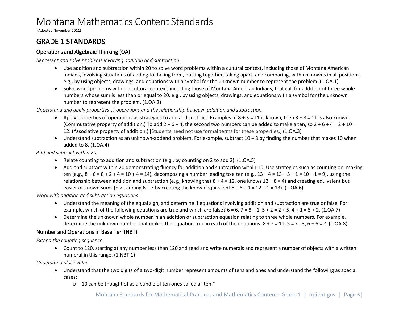(Adopted November 2011)

### <span id="page-5-0"></span>GRADE 1 STANDARDS

#### <span id="page-5-1"></span>Operations and Algebraic Thinking (OA)

*Represent and solve problems involving addition and subtraction.*

- Use addition and subtraction within 20 to solve word problems within a cultural context, including those of Montana American Indians, involving situations of adding to, taking from, putting together, taking apart, and comparing, with unknowns in all positions, e.g., by using objects, drawings, and equations with a symbol for the unknown number to represent the problem. (1.OA.1)
- Solve word problems within a cultural context, including those of Montana American Indians, that call for addition of three whole numbers whose sum is less than or equal to 20, e.g., by using objects, drawings, and equations with a symbol for the unknown number to represent the problem. (1.OA.2)

*Understand and apply properties of operations and the relationship between addition and subtraction.*

- Apply properties of operations as strategies to add and subtract. Examples: if  $8 + 3 = 11$  is known, then  $3 + 8 = 11$  is also known. (Commutative property of addition.) To add  $2 + 6 + 4$ , the second two numbers can be added to make a ten, so  $2 + 6 + 4 = 2 + 10 =$ 12. (Associative property of addition.) [Students need not use formal terms for these properties.] (1.OA.3)
- Understand subtraction as an unknown-addend problem. For example, subtract 10 − 8 by finding the number that makes 10 when added to 8. (1.OA.4)

*Add and subtract within 20.*

- Relate counting to addition and subtraction (e.g., by counting on 2 to add 2). (1.OA.5)
- Add and subtract within 20 demonstrating fluency for addition and subtraction within 10. Use strategies such as counting on, making ten (e.g.,  $8 + 6 = 8 + 2 + 4 = 10 + 4 = 14$ ), decomposing a number leading to a ten (e.g.,  $13 - 4 = 13 - 3 - 1 = 10 - 1 = 9$ ), using the relationship between addition and subtraction (e.g., knowing that  $8 + 4 = 12$ , one knows  $12 - 8 = 4$ ) and creating equivalent but easier or known sums (e.g., adding  $6 + 7$  by creating the known equivalent  $6 + 6 + 1 = 12 + 1 = 13$ ). (1.0A.6)

*Work with addition and subtraction equations.* 

- Understand the meaning of the equal sign, and determine if equations involving addition and subtraction are true or false. For example, which of the following equations are true and which are false?  $6 = 6$ ,  $7 = 8 - 1$ ,  $5 + 2 = 2 + 5$ ,  $4 + 1 = 5 + 2$ . (1.0A.7)
- Determine the unknown whole number in an addition or subtraction equation relating to three whole numbers. For example, determine the unknown number that makes the equation true in each of the equations:  $8 + ? = 11$ ,  $5 = ? - 3$ ,  $6 + 6 = ?$ . (1.0A.8)

#### <span id="page-5-2"></span>Number and Operations in Base Ten (NBT)

*Extend the counting sequence.* 

• Count to 120, starting at any number less than 120 and read and write numerals and represent a number of objects with a written numeral in this range. (1.NBT.1)

*Understand place value.*

- Understand that the two digits of a two-digit number represent amounts of tens and ones and understand the following as special cases:
	- o 10 can be thought of as a bundle of ten ones called a "ten."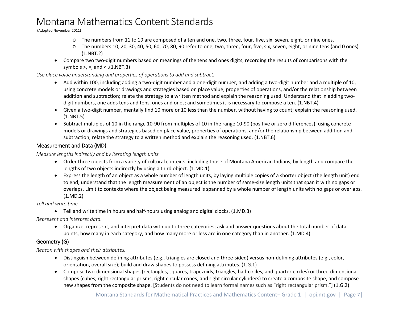(Adopted November 2011)

- o The numbers from 11 to 19 are composed of a ten and one, two, three, four, five, six, seven, eight, or nine ones.
- o The numbers 10, 20, 30, 40, 50, 60, 70, 80, 90 refer to one, two, three, four, five, six, seven, eight, or nine tens (and 0 ones). (1.NBT.2)
- Compare two two-digit numbers based on meanings of the tens and ones digits, recording the results of comparisons with the symbols  $>$ , =, and < .(1.NBT.3)

*Use place value understanding and properties of operations to add and subtract.*

- Add within 100, including adding a two-digit number and a one-digit number, and adding a two-digit number and a multiple of 10, using concrete models or drawings and strategies based on place value, properties of operations, and/or the relationship between addition and subtraction; relate the strategy to a written method and explain the reasoning used. Understand that in adding twodigit numbers, one adds tens and tens, ones and ones; and sometimes it is necessary to compose a ten. (1.NBT.4)
- Given a two-digit number, mentally find 10 more or 10 less than the number, without having to count; explain the reasoning used. (1.NBT.5)
- Subtract multiples of 10 in the range 10-90 from multiples of 10 in the range 10-90 (positive or zero differences), using concrete models or drawings and strategies based on place value, properties of operations, and/or the relationship between addition and subtraction; relate the strategy to a written method and explain the reasoning used. (1.NBT.6).

#### <span id="page-6-0"></span>Measurement and Data (MD)

*Measure lengths indirectly and by iterating length units.*

- Order three objects from a variety of cultural contexts, including those of Montana American Indians, by length and compare the lengths of two objects indirectly by using a third object. (1.MD.1)
- Express the length of an object as a whole number of length units, by laying multiple copies of a shorter object (the length unit) end to end; understand that the length measurement of an object is the number of same-size length units that span it with no gaps or overlaps. Limit to contexts where the object being measured is spanned by a whole number of length units with no gaps or overlaps. (1.MD.2)

*Tell and write time.*

• Tell and write time in hours and half-hours using analog and digital clocks. (1.MD.3)

*Represent and interpret data.*

• Organize, represent, and interpret data with up to three categories; ask and answer questions about the total number of data points, how many in each category, and how many more or less are in one category than in another. (1.MD.4)

#### <span id="page-6-1"></span>Geometry (G)

*Reason with shapes and their attributes.*

- Distinguish between defining attributes (e.g., triangles are closed and three-sided) versus non-defining attributes (e.g., color, orientation, overall size); build and draw shapes to possess defining attributes. (1.G.1)
- Compose two-dimensional shapes (rectangles, squares, trapezoids, triangles, half-circles, and quarter-circles) or three-dimensional shapes (cubes, right rectangular prisms, right circular cones, and right circular cylinders) to create a composite shape, and compose new shapes from the composite shape. [Students do not need to learn formal names such as "right rectangular prism."] (1.G.2)